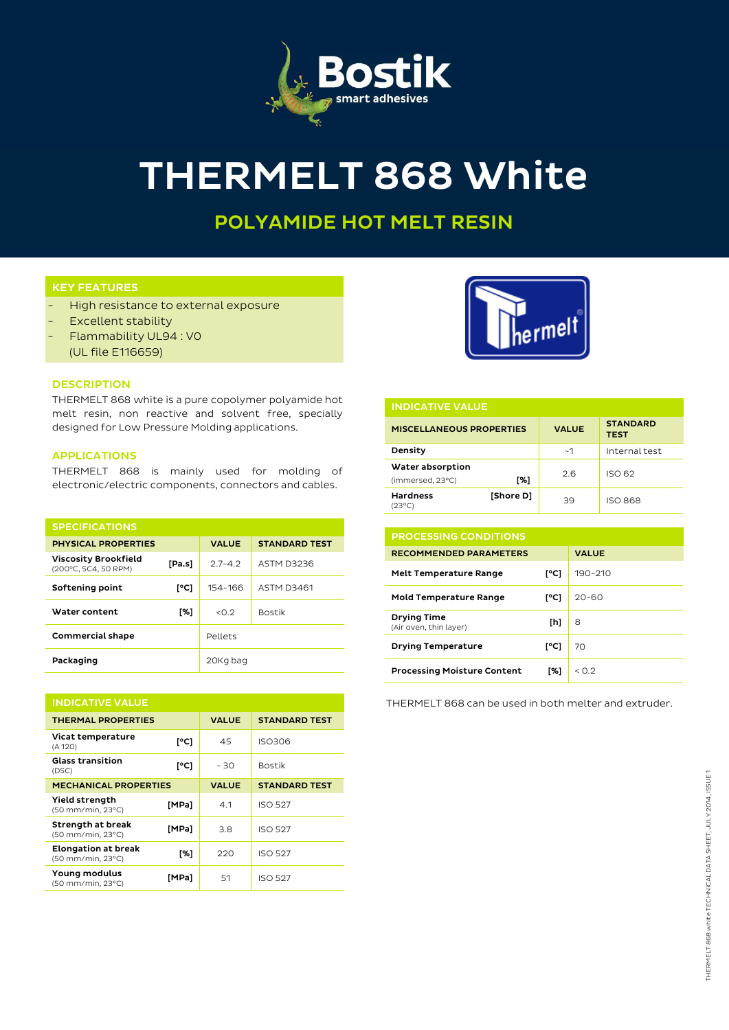

# THERMELT 868 White

# POLYAMIDE HOT MELT RESIN

# KEY FEATURES

- High resistance to external exposure
- Excellent stability
- Flammability UL94: VO
	- (UL file E116659)

### **DESCRIPTION**

THERMELT 868 white is a pure copolymer polyamide hot melt resin, non reactive and solvent free, specially designed for Low Pressure Molding applications.

#### APPLICATIONS

THERMELT 868 is mainly used for molding of electronic/electric components, connectors and cables.

| <b>SPECIFICATIONS</b>                               |        |              |                      |
|-----------------------------------------------------|--------|--------------|----------------------|
| <b>PHYSICAL PROPERTIES</b>                          |        | <b>VALUE</b> | <b>STANDARD TEST</b> |
| <b>Viscosity Brookfield</b><br>(200°C, SC4, 50 RPM) | [Pa.s] | $27 - 42$    | ASTM D3236           |
| Softening point                                     | [°C]   | 154-166      | <b>ASTM D3461</b>    |
| Water content                                       | [%]    | < 0.2        | <b>Bostik</b>        |
| <b>Commercial shape</b>                             |        | Pellets      |                      |
| Packaging                                           |        | 20Kg bag     |                      |

| <b>INDICATIVE VALUE</b>                         |       |              |                      |  |  |
|-------------------------------------------------|-------|--------------|----------------------|--|--|
| <b>THERMAL PROPERTIES</b>                       |       | <b>VALUE</b> | <b>STANDARD TEST</b> |  |  |
| Vicat temperature<br>(A 120)                    | [°C]  | 45           | ISO306               |  |  |
| <b>Glass transition</b><br>(DSC)                | [°C]  | $-30$        | <b>Bostik</b>        |  |  |
| <b>MECHANICAL PROPERTIES</b>                    |       | <b>VALUE</b> | <b>STANDARD TEST</b> |  |  |
| <b>Yield strength</b><br>(50 mm/min, 23°C)      | [MPa] | 4.1          | <b>ISO 527</b>       |  |  |
| <b>Strength at break</b><br>(50 mm/min, 23°C)   | [MPa] | 3.8          | <b>ISO 527</b>       |  |  |
| <b>Elongation at break</b><br>(50 mm/min, 23°C) | [%]   | 220          | <b>ISO 527</b>       |  |  |
| Young modulus<br>(50 mm/min, 23°C)              | [MPa] | 51           | <b>ISO 527</b>       |  |  |



| <b>INDICATIVE VALUE</b>              |           |              |                                |  |  |
|--------------------------------------|-----------|--------------|--------------------------------|--|--|
| <b>MISCELLANEOUS PROPERTIES</b>      |           | <b>VALUE</b> | <b>STANDARD</b><br><b>TEST</b> |  |  |
| Density                              |           | ~1           | Internal test                  |  |  |
| Water absorption<br>(immersed, 23°C) | [%]       | 2.6          | ISO 62                         |  |  |
| <b>Hardness</b><br>(23°C)            | [Shore D] | 39           | <b>ISO 868</b>                 |  |  |

| <b>PROCESSING CONDITIONS</b>                 |      |                      |  |
|----------------------------------------------|------|----------------------|--|
| <b>RECOMMENDED PARAMETERS</b>                |      | <b>VALUE</b>         |  |
| <b>Melt Temperature Range</b>                | [°C] | 190-210              |  |
| <b>Mold Temperature Range</b>                | r°C1 | $20 - 60$            |  |
| <b>Drying Time</b><br>(Air oven, thin layer) | [h]  | 8                    |  |
| <b>Drying Temperature</b>                    | [°C] | 70                   |  |
| <b>Processing Moisture Content</b>           | [%]  | $<$ $\cap$ $\supset$ |  |

THERMELT 868 can be used in both melter and extruder.